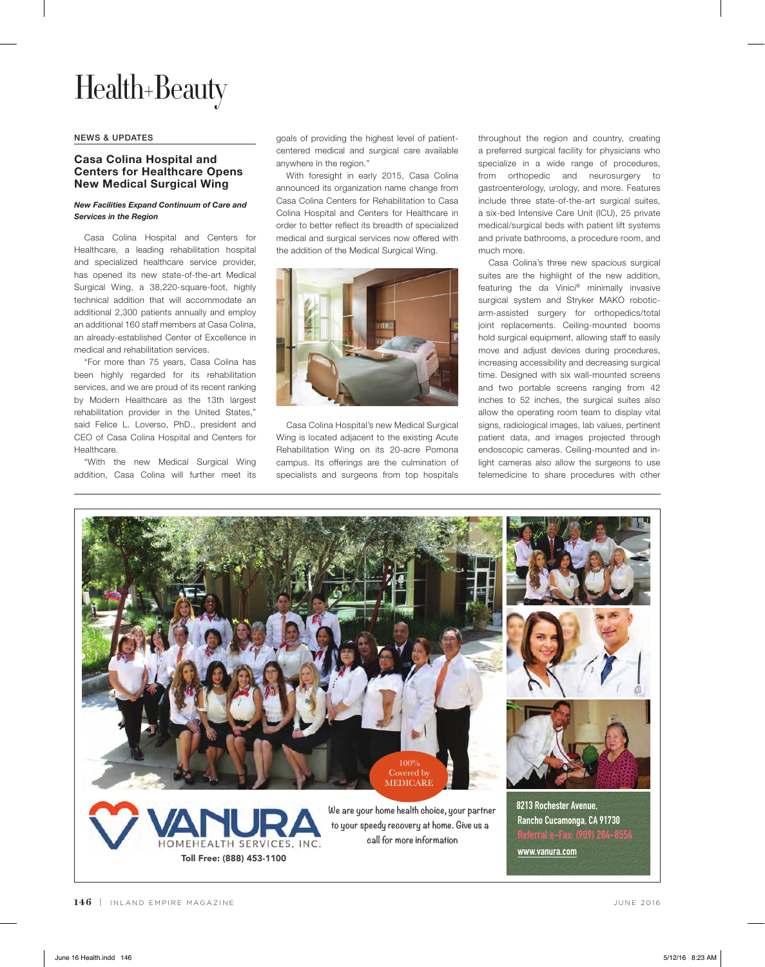# Health+Beauty

#### NEWS & UPDATES

## **Casa Colina Hospital and Centers for Healthcare Opens New Medical Surgical Wing**

### *New Facilities Expand Continuum of Care and Services in the Region*

Casa Colina Hospital and Centers for Healthcare, a leading rehabilitation hospital and specialized healthcare service provider, has opened its new state-of-the-art Medical Surgical Wing, a 38,220-square-foot, highly technical addition that will accommodate an additional 2,300 patients annually and employ an additional 160 staff members at Casa Colina, an already-established Center of Excellence in medical and rehabilitation services.

"For more than 75 years, Casa Colina has been highly regarded for its rehabilitation services, and we are proud of its recent ranking by Modern Healthcare as the 13th largest rehabilitation provider in the United States," said Felice L. Loverso, PhD., president and CEO of Casa Colina Hospital and Centers for Healthcare.

"With the new Medical Surgical Wing addition, Casa Colina will further meet its

goals of providing the highest level of patientcentered medical and surgical care available anywhere in the region."

With foresight in early 2015, Casa Colina announced its organization name change from Casa Colina Centers for Rehabilitation to Casa Colina Hospital and Centers for Healthcare in order to better reflect its breadth of specialized medical and surgical services now offered with the addition of the Medical Surgical Wing.



Casa Colina Hospital's new Medical Surgical Wing is located adjacent to the existing Acute Rehabilitation Wing on its 20-acre Pomona campus. Its offerings are the culmination of specialists and surgeons from top hospitals throughout the region and country, creating a preferred surgical facility for physicians who specialize in a wide range of procedures, from orthopedic and neurosurgery to gastroenterology, urology, and more. Features include three state-of-the-art surgical suites, a six-bed Intensive Care Unit (ICU), 25 private medical/surgical beds with patient lift systems and private bathrooms, a procedure room, and much more.

Casa Colina's three new spacious surgical suites are the highlight of the new addition, featuring the da Vinici® minimally invasive surgical system and Stryker MAKO roboticarm-assisted surgery for orthopedics/total joint replacements. Ceiling-mounted booms hold surgical equipment, allowing staff to easily move and adjust devices during procedures, increasing accessibility and decreasing surgical time. Designed with six wall-mounted screens and two portable screens ranging from 42 inches to 52 inches, the surgical suites also allow the operating room team to display vital signs, radiological images, lab values, pertinent patient data, and images projected through endoscopic cameras. Ceiling-mounted and inlight cameras also allow the surgeons to use telemedicine to share procedures with other